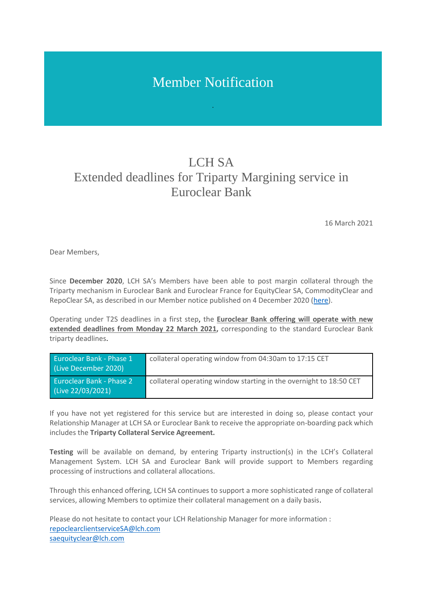## Member Notification

## LCH<sub>SA</sub> Extended deadlines for Triparty Margining service in Euroclear Bank

16 March 2021

Dear Members,

Since **December 2020**, LCH SA's Members have been able to post margin collateral through the Triparty mechanism in Euroclear Bank and Euroclear France for EquityClear SA, CommodityClear and RepoClear SA, as described in our Member notice published on 4 December 2020 [\(here\)](https://www.lch.com/system/files/media_root/LCH%20SA%20Bulletin%20-%20Triparty%20Collateral%20Management%20service%20live%2014%20December%202020.pdf).

Operating under T2S deadlines in a first step, the **Euroclear Bank offering will operate with new extended deadlines from Monday 22 March 2021,** corresponding to the standard Euroclear Bank triparty deadlines.

| <b>Euroclear Bank - Phase 1</b><br>(Live December 2020) | collateral operating window from 04:30am to 17:15 CET              |
|---------------------------------------------------------|--------------------------------------------------------------------|
| <b>Euroclear Bank - Phase 2</b><br>(Live 22/03/2021)    | collateral operating window starting in the overnight to 18:50 CET |

If you have not yet registered for this service but are interested in doing so, please contact your Relationship Manager at LCH SA or Euroclear Bank to receive the appropriate on-boarding pack which includes the **Triparty Collateral Service Agreement.**

**Testing** will be available on demand, by entering Triparty instruction(s) in the LCH's Collateral Management System. LCH SA and Euroclear Bank will provide support to Members regarding processing of instructions and collateral allocations.

Through this enhanced offering, LCH SA continues to support a more sophisticated range of collateral services, allowing Members to optimize their collateral management on a daily basis.

Please do not hesitate to contact your LCH Relationship Manager for more information : [repoclearclientserviceSA@lch.com](mailto:repoclearclientserviceSA@lch.com) [saequityclear@lch.com](mailto:saequityclear@lch.com)